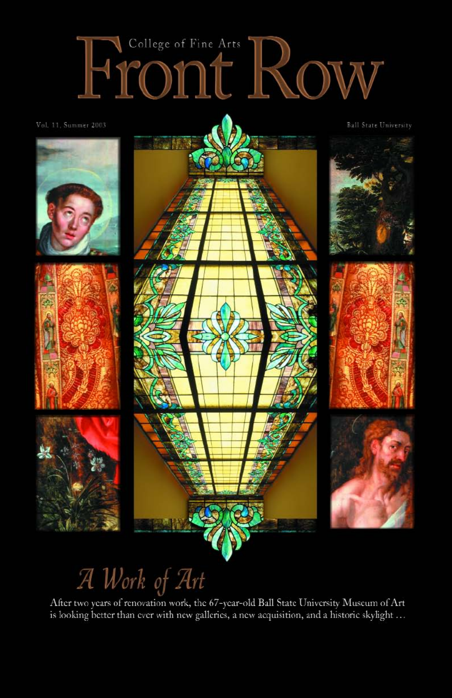# College of Fine Arts HICONU ROW

Vol. 11, Summer 2003









**Ball State University** 











# A Work of Art

After two years of renovation work, the 67-year-old Ball State University Museum of Art is looking better than ever with new galleries, a new acquisition, and a historic skylight ...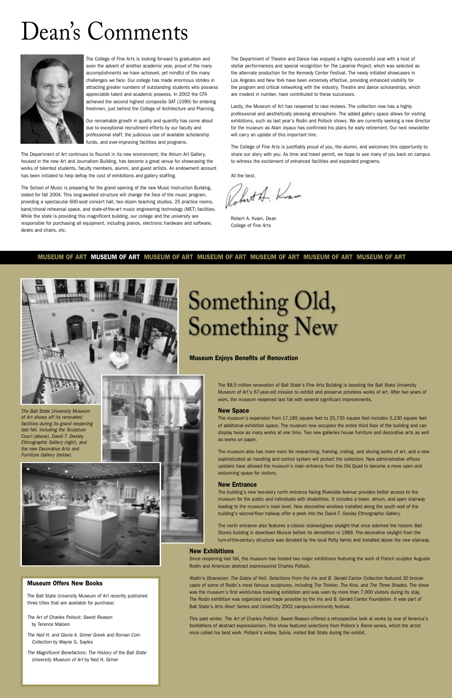#### **MUSEUM OF ART MUSEUM OF ART MUSEUM OF ART MUSEUM OF ART MUSEUM OF ART MUSEUM OF ART MUSEUM OF ART**



### Dean's Comments



#### **Museum Offers New Books**

The Ball State University Museum of Art recently published three titles that are available for purchase:

The Art of Charles Pollock: Sweet Reason by Terence Maloon

The Ned H. and Gloria A. Griner Greek and Roman Coin Collection by Wayne G. Sayles

The Magnificent Benefactors: The History of the Ball State University Museum of Art by Ned H. Griner

#### **Museum Enjoys Benefits of Renovation**

The \$8.5 million renovation of Ball State's Fine Arts Building is boosting the Ball State University Museum of Art's 67-year-old mission to exhibit and preserve priceless works of art. After two years of work, the museum reopened last fall with several significant improvements.

#### **New Space**

The museum's expansion from 17,185 square feet to 25,735 square feet includes 5,230 square feet of additional exhibition space. The museum now occupies the entire third floor of the building and can display twice as many works at one time. Two new galleries house furniture and decorative arts as well as works on paper.

The museum also has more room for researching, framing, crating, and storing works of art, and a new sophisticated air handling and control system will protect the collection. New administrative offices upstairs have allowed the museum's main entrance from the Old Quad to become a more open and welcoming space for visitors.

#### **New Entrance**

The building's new two-story north entrance facing Riverside Avenue provides better access to the museum for the public and individuals with disabilities. It includes a tower, atrium, and open stairway leading to the museum's main level. New decorative windows installed along the south wall of the



building's second-floor hallway offer a peek into the David T. Owsley Ethnographic Gallery.

The north entrance also features a classic stained-glass skylight that once adorned the historic Ball Stores building in downtown Muncie before its demolition in 1989. The decorative skylight from the turn-of-the-century structure was donated by the local Petty family and installed above the new stairway.

#### **New Exhibitions**

Since reopening last fall, the museum has hosted two major exhibitions featuring the work of French sculptor Auguste Rodin and American abstract expressionist Charles Pollock.

Rodin's Obsession: The Gates of Hell, Selections From the Iris and B. Gerald Cantor Collection featured 30 bronze casts of some of Rodin's most famous sculptures, including The Thinker, The Kiss, and The Three Shades. The show was the museum's first world-class traveling exhibition and was seen by more than 7,000 visitors during its stay. The Rodin exhibition was organized and made possible by the Iris and B. Gerald Cantor Foundation. It was part of Ball State's Arts Alive! Series and UniverCity 2002 campus-community festival.

This past winter, The Art of Charles Pollock: Sweet Reason offered a retrospective look at works by one of America's forefathers of abstract expressionism. The show featured selections from Pollock's Rome series, which the artist once called his best work. Pollock's widow, Sylvia, visited Ball State during the exhibit.

The College of Fine Arts is looking forward to graduation and soon the advent of another academic year, proud of the many accomplishments we have achieved, yet mindful of the many challenges we face. Our college has made enormous strides in attracting greater numbers of outstanding students who possess appreciable talent and academic prowess. In 2002 the CFA achieved the second highest composite SAT (1090) for entering freshmen, just behind the College of Architecture and Planning.

Our remarkable growth in quality and quantity has come about due to exceptional recruitment efforts by our faculty and professional staff, the judicious use of available scholarship funds, and ever-improving facilities and programs.

The Department of Art continues to flourish in its new environment; the Atrium Art Gallery, housed in the new Art and Journalism Building, has become a great venue for showcasing the works of talented students, faculty members, alumni, and guest artists. An endowment account has been initiated to help defray the cost of exhibitions and gallery staffing.

The School of Music is preparing for the grand opening of the new Music Instruction Building, slated for fall 2004. This long-awaited structure will change the face of the music program, providing a spectacular 600-seat concert hall, two dozen teaching studios, 25 practice rooms, band/choral rehearsal space, and state-of-the-art music engineering technology (MET) facilities. While the state is providing this magnificent building, our college and the university are responsible for purchasing all equipment, including pianos, electronic hardware and software, desks and chairs, etc.

The Department of Theatre and Dance has enjoyed a highly successful year with a host of stellar performances and special recognition for The Laramie Project, which was selected as the alternate production for the Kennedy Center Festival. The newly initiated showcases in Los Angeles and New York have been extremely effective, providing enhanced visibility for the program and critical networking with the industry. Theatre and dance scholarships, which are modest in number, have contributed to these successes.

Lastly, the Museum of Art has reopened to rave reviews. The collection now has a highly professional and aesthetically pleasing atmosphere. The added gallery space allows for visiting exhibitions, such as last year's Rodin and Pollock shows. We are currently seeking a new director for the museum as Alain Joyaux has confirmed his plans for early retirement. Our next newsletter will carry an update of this important hire.

The College of Fine Arts is justifiably proud of you, the alumni, and welcomes this opportunity to share our story with you. As time and travel permit, we hope to see many of you back on campus to witness the excitement of enhanced facilities and expanded programs.

All the best,

fort A. Kvan

Robert A. Kvam, Dean College of Fine Arts



Furniture Gallery (below).





# Something Old,<br>Something New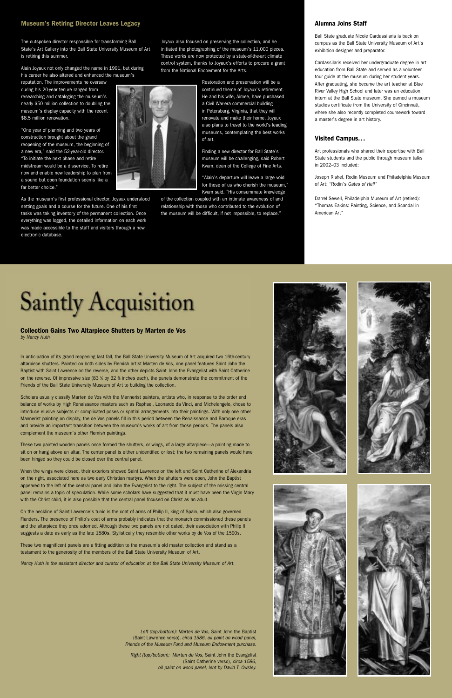#### **Museum's Retiring Director Leaves Legacy and Stationary Alumna Joins Staff** Alumna Joins Staff

The outspoken director responsible for transforming Ball State's Art Gallery into the Ball State University Museum of Art is retiring this summer.

Alain Joyaux not only changed the name in 1991, but during his career he also altered and enhanced the museum's

reputation. The improvements he oversaw during his 20-year tenure ranged from researching and cataloging the museum's nearly \$50 million collection to doubling the museum's display capacity with the recent \$8.5 million renovation.

"One year of planning and two years of construction brought about the grand reopening of the museum, the beginning of a new era," said the 52-year-old director. "To initiate the next phase and retire midstream would be a disservice. To retire now and enable new leadership to plan from a sound but open foundation seems like a far better choice."

As the museum's first professional director, Joyaux understood setting goals and a course for the future. One of his first tasks was taking inventory of the permanent collection. Once everything was logged, the detailed information on each work was made accessible to the staff and visitors through a new electronic database.

Joyaux also focused on preserving the collection, and he initiated the photographing of the museum's 11,000 pieces. Those works are now protected by a state-of-the-art climate control system, thanks to Joyaux's efforts to procure a grant from the National Endowment for the Arts.



Kvam, dean of the College of Fine Arts. "Alain's departure will leave a large void for those of us who cherish the museum," Kvam said. "His consummate knowledge

of the collection coupled with an intimate awareness of and relationship with those who contributed to the evolution of the museum will be difficult, if not impossible, to replace."

Ball State graduate Nicole Cardassilaris is back on campus as the Ball State University Museum of Art's exhibition designer and preparator.

Cardassilaris received her undergraduate degree in art education from Ball State and served as a volunteer tour guide at the museum during her student years. After graduating, she became the art teacher at Blue River Valley High School and later was an education intern at the Ball State museum. She earned a museum studies certificate from the University of Cincinnati, where she also recently completed coursework toward a master's degree in art history.

#### **Visited Campus...**

Art professionals who shared their expertise with Ball State students and the public through museum talks in 2002–03 included:

Joseph Rishel, Rodin Museum and Philadelphia Museum of Art: "Rodin's Gates of Hell"

Darrel Sewell, Philadelphia Museum of Art (retired): "Thomas Eakins: Painting, Science, and Scandal in American Art"

## **Saintly Acquisition**

**Collection Gains Two Altarpiece Shutters by Marten de Vos** by Nancy Huth

In anticipation of its grand reopening last fall, the Ball State University Museum of Art acquired two 16th-century altarpiece shutters. Painted on both sides by Flemish artist Marten de Vos, one panel features Saint John the Baptist with Saint Lawrence on the reverse, and the other depicts Saint John the Evangelist with Saint Catherine on the reverse. Of impressive size (83  $\frac{y}{Z}$  by 32 % inches each), the panels demonstrate the commitment of the Friends of the Ball State University Museum of Art to building the collection.

Scholars usually classify Marten de Vos with the Mannerist painters, artists who, in response to the order and balance of works by High Renaissance masters such as Raphael, Leonardo da Vinci, and Michelangelo, chose to introduce elusive subjects or complicated poses or spatial arrangements into their paintings. With only one other Mannerist painting on display, the de Vos panels fill in this period between the Renaissance and Baroque eras and provide an important transition between the museum's works of art from those periods. The panels also complement the museum's other Flemish paintings.

These two painted wooden panels once formed the shutters, or wings, of a large altarpiece—a painting made to sit on or hang above an altar. The center panel is either unidentified or lost; the two remaining panels would have been hinged so they could be closed over the central panel.

When the wings were closed, their exteriors showed Saint Lawrence on the left and Saint Catherine of Alexandria on the right, associated here as two early Christian martyrs. When the shutters were open, John the Baptist appeared to the left of the central panel and John the Evangelist to the right. The subject of the missing central panel remains a topic of speculation. While some scholars have suggested that it must have been the Virgin Mary with the Christ child, it is also possible that the central panel focused on Christ as an adult.

On the neckline of Saint Lawrence's tunic is the coat of arms of Philip II, king of Spain, which also governed









Flanders. The presence of Philip's coat of arms probably indicates that the monarch commissioned these panels and the altarpiece they once adorned. Although these two panels are not dated, their association with Philip II suggests a date as early as the late 1580s. Stylistically they resemble other works by de Vos of the 1590s.

These two magnificent panels are a fitting addition to the museum's old master collection and stand as a testament to the generosity of the members of the Ball State University Museum of Art.

Nancy Huth is the assistant director and curator of education at the Ball State University Museum of Art.

Left (top/bottom): Marten de Vos, Saint John the Baptist (Saint Lawrence verso), circa 1586, oil paint on wood panel, Friends of the Museum Fund and Museum Endowment purchase.

Right (top/bottom): Marten de Vos, Saint John the Evangelist (Saint Catherine verso), circa 1586, oil paint on wood panel, lent by David T. Owsley.

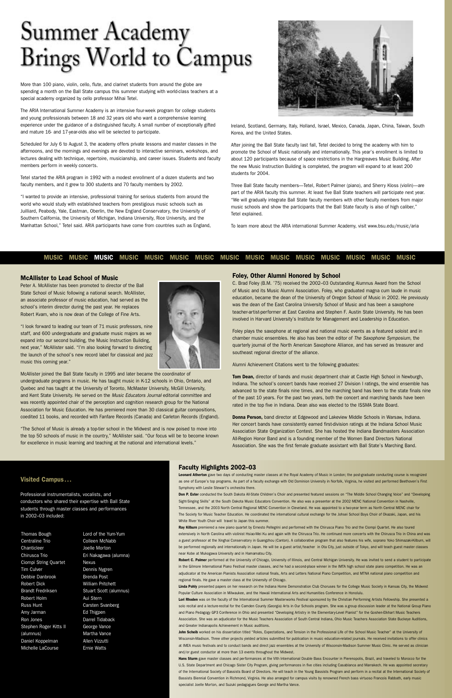#### **MUSIC MUSIC MUSIC MUSIC MUSIC MUSIC MUSIC MUSIC MUSIC MUSIC MUSIC MUSIC MUSIC MUSIC MUSIC**

### Summer Academy Brings World to Campus

More than 100 piano, violin, cello, flute, and clarinet students from around the globe are spending a month on the Ball State campus this summer studying with world-class teachers at a special academy organized by cello professor Mihai Tetel.

The ARIA International Summer Academy is an intensive four-week program for college students and young professionals between 18 and 32 years old who want a comprehensive learning experience under the guidance of a distinguished faculty. A small number of exceptionally gifted and mature 16- and 17-year-olds also will be selected to participate.

Scheduled for July 6 to August 3, the academy offers private lessons and master classes in the afternoons, and the mornings and evenings are devoted to interactive seminars, workshops, and lectures dealing with technique, repertoire, musicianship, and career issues. Students and faculty members perform in weekly concerts.

Tetel started the ARIA program in 1992 with a modest enrollment of a dozen students and two faculty members, and it grew to 300 students and 70 faculty members by 2002.

"I wanted to provide an intensive, professional training for serious students from around the world who would study with established teachers from prestigious music schools such as Juilliard, Peabody, Yale, Eastman, Oberlin, the New England Conservatory, the University of Southern California, the University of Michigan, Indiana University, Rice University, and the Manhattan School," Tetel said. ARIA participants have come from countries such as England,



Ireland, Scotland, Germany, Italy, Holland, Israel, Mexico, Canada, Japan, China, Taiwan, South Korea, and the United States.

After joining the Ball State faculty last fall, Tetel decided to bring the academy with him to promote the School of Music nationally and internationally. This year's enrollment is limited to about 120 participants because of space restrictions in the Hargreaves Music Building. After the new Music Instruction Building is completed, the program will expand to at least 200 students for 2004.

Three Ball State faculty members—Tetel, Robert Palmer (piano), and Sherry Kloss (violin)—are part of the ARIA faculty this summer. At least five Ball State teachers will participate next year. "We will gradually integrate Ball State faculty members with other faculty members from major music schools and show the participants that the Ball State faculty is also of high caliber," Tetel explained.

To learn more about the ARIA international Summer Academy, visit www.bsu.edu/music/aria

#### **Foley, Other Alumni Honored by School**

C. Brad Foley (B.M. '75) received the 2002–03 Outstanding Alumnus Award from the School of Music and its Music Alumni Association. Foley, who graduated magna cum laude in music education, became the dean of the University of Oregon School of Music in 2002. He previously was the dean of the East Carolina University School of Music and has been a saxophone teacher-artist-performer at East Carolina and Stephen F. Austin State University. He has been involved in Harvard University's Institute for Management and Leadership in Education.

Leonard Atherton gave two days of conducting master classes at the Royal Academy of Music in London; the post-graduate conducting course is recognized as one of Europe's top programs. As part of a faculty exchange with Old Dominion University in Norfolk, Virginia, he visited and performed Beethoven's First Symphony with Leslie Stewart's orchestra there.

Foley plays the saxophone at regional and national music events as a featured soloist and in chamber music ensembles. He also has been the editor of The Saxophone Symposium, the quarterly journal of the North American Saxophone Alliance, and has served as treasurer and southeast regional director of the alliance.

Alumni Achievement Citations went to the following graduates:

**Tom Dean,** director of bands and music department chair at Castle High School in Newburgh, Indiana. The school's concert bands have received 27 Division I ratings, the wind ensemble has advanced to the state finals nine times, and the marching band has been to the state finals nine of the past 10 years. For the past two years, both the concert and marching bands have been rated in the top five in Indiana. Dean also was elected to the ISSMA State Board.

Ray Kilburn premiered a new piano quartet by Ernesto Pellegrini and performed with the Chirusca Piano Trio and the Ciompi Quartet. He also toured extensively in North Carolina with violinist Hsiao-Mei Ku and again with the Chirusca Trio. He continued more concerts with the Chirusca Trio in China and was a guest professor at the Xinghai Conservatory in Guangzhou (Canton). A collaborative program that also features his wife, soprano Yoko Shimazaki-Kilburn, will be performed regionally and internationally in Japan. He will be a guest artist/teacher in Ota City, just outside of Tokyo, and will teach guest master classes near Kobe at Mukogawa University and in Hamamatsu City.

**Donna Person,** band director at Edgewood and Lakeview Middle Schools in Warsaw, Indiana. Her concert bands have consistently earned first-division ratings at the Indiana School Music Association State Organization Contest. She has hosted the Indiana Bandmasters Association All-Region Honor Band and is a founding member of the Women Band Directors National Association. She was the first female graduate assistant with Ball State's Marching Band.

Linda Pohly presented papers on her research on the Indiana Home Demonstration Club Choruses for the College Music Society in Kansas City, the Midwest Popular Culture Association in Milwaukee, and the Hawaii International Arts and Humanities Conference in Honolulu.

#### **Visited Campus...**

Professional instrumentalists, vocalists, and conductors who shared their expertise with Ball State students through master classes and performances

#### in 2002–03 included:

#### **McAllister to Lead School of Music**

Lori Rhoden was on the faculty of the International Summer Masterworks Festival sponsored by the Christian Performing Artists Fellowship. She presented a solo recital and a lecture-recital for the Camden County (Georgia) Arts in Our Schools program. She was a group discussion leader at the National Group Piano and Piano Pedagogy GP3 Conference in Ohio and presented "Developing Artistry in the Elementary-Level Pianist" for the Goshen-Elkhart Music Teachers Association. She was an adjudicator for the Music Teachers Association of South Central Indiana, Ohio Music Teachers Association State Buckeye Auditions, and Greater Indianapolis Achievement in Music auditions.

Peter A. McAllister has been promoted to director of the Ball State School of Music following a national search. McAllister, an associate professor of music education, had served as the school's interim director during the past year. He replaces Robert Kvam, who is now dean of the College of Fine Arts.

> John Scheib worked on his dissertation titled "Roles, Expectations, and Tension in the Professional Life of the School Music Teacher" at the University of Wisconsin-Madison. Three other projects yielded articles submitted for publication in music education-related journals. He received invitations to offer clinics at IMEA music festivals and to conduct bands and direct jazz ensembles at the University of Wisconsin-Madison Summer Music Clinic. He served as clinician and/or guest conductor at more than 13 events throughout the Midwest.

"I look forward to leading our team of 71 music professors, nine staff, and 600 undergraduate and graduate music majors as we expand into our second building, the Music Instruction Building, next year," McAllister said. "I'm also looking forward to directing the launch of the school's new record label for classical and jazz music this coming year."

McAllister joined the Ball State faculty in 1995 and later became the coordinator of undergraduate programs in music. He has taught music in K-12 schools in Ohio, Ontario, and Quebec and has taught at the University of Toronto, McMaster University, McGill University, and Kent State University. He served on the Music Educators Journal editorial committee and was recently appointed chair of the perception and cognition research group for the National Association for Music Education. He has premiered more than 30 classical guitar compositions, coedited 11 books, and recorded with Fanfare Records (Canada) and Carleton Records (England).

"The School of Music is already a top-tier school in the Midwest and is now poised to move into the top 50 schools of music in the country," McAllister said. "Our focus will be to become known for excellence in music learning and teaching at the national and international levels."



#### **Faculty Highlights 2002–03**

**Don P. Ester** conducted the South Dakota All-State Children's Choir and presented featured sessions on "The Middle School Changing Voice" and "Developing Sight-Singing Skills" at the South Dakota Music Educators Convention. He also was a presenter at the 2002 MENC National Convention in Nashville, Tennessee, and the 2003 North Central Regional MENC Convention in Cleveland. He was appointed to a two-year term as North Central MENC chair for The Society for Music Teacher Education. He coordinated the international cultural exchange for the Johsei School Boys Choir of Okazaki, Japan, and his White River Youth Choir will travel to Japan this summer.

**Robert C. Palmer** performed at the University of Chicago, University of Illinois, and Central Michigan University. He was invited to send a student to participate in the Gilmore International Piano Festival master classes, and he had a second-place winner in the IMTA high school state piano competition. He was an adjudicator at the American Pianists Association national finals, Arts and Letters National Piano Competition, and MTNA national piano competition and regional finals. He gave a master class at the University of Chicago.

**Hans Sturm** gave master classes and performances at the VIth International Double Bass Encounter in Pierenopolis, Brazil, and traveled to Morocco for the U.S. State Department and Chicago Sister City Program, giving performances in five cities including Casablanca and Marrakech. He was appointed secretary of the International Society of Bassists Board of Directors. He will teach in the Young Bassists Program and perform in a recital at the International Society of Bassists Biennial Convention in Richmond, Virginia. He also arranged for campus visits by renowned French bass virtuoso Francois Rabbath, early music specialist Joelle Morton, and Suzuki pedagogues George and Martha Vance.

Thomas Bough Centraline Trio **Chanticleer** Chirusca Trio Ciompi String Quartet Tim Culver Debbie Danbrook Robert Dick Brandt Fredriksen Robert Holm Russ Hunt Amy Jarman Ron Jones Stephen Roger Kitts II (alumnus) Daniel Koppelman Michelle LaCourse

Lord of the Yum-Yum Colleen McNabb Joelle Morton Eri Nakagawa (alumna) Nexus Dennis Nygren Brenda Post William Pritchett Stuart Scott (alumnus) Aui Stern Carsten Svanberg Ed Thigpen Darrel Tidaback George Vance Martha Vance Allen Vizzutti Ernie Watts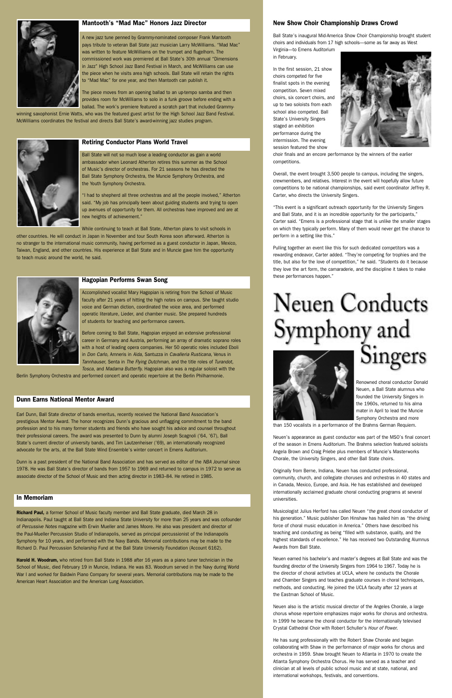#### **New Show Choir Championship Draws Crowd**

Ball State's inaugural Mid-America Show Choir Championship brought student choirs and individuals from 17 high schools—some as far away as West

Virginia—to Emens Auditorium in February.

In the first session, 21 show choirs competed for five finalist spots in the evening competition. Seven mixed choirs, six concert choirs, and up to two soloists from each school also competed. Ball State's University Singers staged an exhibition performance during the intermission. The evening session featured the show



choir finals and an encore performance by the winners of the earlier competitions.

Overall, the event brought 3,500 people to campus, including the singers, crewmembers, and relatives. Interest in the event will hopefully allow future competitions to be national championships, said event coordinator Jeffrey R. Carter, who directs the University Singers.

"This event is a significant outreach opportunity for the University Singers and Ball State, and it is an incredible opportunity for the participants," Carter said. "Emens is a professional stage that is unlike the smaller stages on which they typically perform. Many of them would never get the chance to perform in a setting like this."

Pulling together an event like this for such dedicated competitors was a rewarding endeavor, Carter added. "They're competing for trophies and the title, but also for the love of competition," he said. "Students do it because they love the art form, the camaraderie, and the discipline it takes to make these performances happen."

**Neuen Conducts** Symphony and Singers



Renowned choral conductor Donald Neuen, a Ball State alumnus who founded the University Singers in the 1960s, returned to his alma mater in April to lead the Muncie Symphony Orchestra and more

than 150 vocalists in a performance of the Brahms German Requiem.

Neuen's appearance as guest conductor was part of the MSO's final concert of the season in Emens Auditorium. The Brahms selection featured soloists Angela Brown and Craig Priebe plus members of Muncie's Masterworks Chorale, the University Singers, and other Ball State choirs.

Originally from Berne, Indiana, Neuen has conducted professional, community, church, and collegiate choruses and orchestras in 40 states and in Canada, Mexico, Europe, and Asia. He has established and developed internationally acclaimed graduate choral conducting programs at several universities.

Musicologist Julius Herford has called Neuen "the great choral conductor of

his generation." Music publisher Don Hinshaw has hailed him as "the driving force of choral music education in America." Others have described his teaching and conducting as being "filled with substance, quality, and the highest standards of excellence." He has received two Outstanding Alumnus Awards from Ball State.

Neuen earned his bachelor's and master's degrees at Ball State and was the founding director of the University Singers from 1964 to 1967. Today he is the director of choral activities at UCLA, where he conducts the Chorale and Chamber Singers and teaches graduate courses in choral techniques, methods, and conducting. He joined the UCLA faculty after 12 years at the Eastman School of Music.

Neuen also is the artistic musical director of the Angeles Chorale, a large chorus whose repertoire emphasizes major works for chorus and orchestra. In 1999 he became the choral conductor for the internationally televised Crystal Cathedral Choir with Robert Schuller's Hour of Power.

He has sung professionally with the Robert Shaw Chorale and began collaborating with Shaw in the performance of major works for chorus and orchestra in 1959. Shaw brought Neuen to Atlanta in 1970 to create the Atlanta Symphony Orchestra Chorus. He has served as a teacher and clinician at all levels of public school music and at state, national, and international workshops, festivals, and conventions.

#### **In Memoriam**

**hard Paul,** a former School of Music faculty member and Ball State graduate, died March 28 in

Indianapolis. Paul taught at Ball State and Indiana State University for more than 25 years and was cofounder of Percussive Notes magazine with Erwin Mueller and James Moore. He also was president and director of the Paul-Mueller Percussion Studio of Indianapolis, served as principal percussionist of the Indianapolis Symphony for 10 years, and performed with the Navy Bands. Memorial contributions may be made to the Richard D. Paul Percussion Scholarship Fund at the Ball State University Foundation (Account 6162).

**Harold H. Woodrum,** who retired from Ball State in 1988 after 16 years as a piano tuner technician in the School of Music, died February 19 in Muncie, Indiana. He was 83. Woodrum served in the Navy during World War I and worked for Baldwin Piano Company for several years. Memorial contributions may be made to the American Heart Association and the American Lung Association.



#### **Mantooth's "Mad Mac" Honors Jazz Director**

A new jazz tune penned by Grammy-nominated composer Frank Mantooth pays tribute to veteran Ball State jazz musician Larry McWilliams. "Mad Mac" was written to feature McWilliams on the trumpet and flugelhorn. The commissioned work was premiered at Ball State's 30th annual "Dimensions in Jazz" High School Jazz Band Festival in March, and McWilliams can use the piece when he visits area high schools. Ball State will retain the rights to "Mad Mac" for one year, and then Mantooth can publish it.

The piece moves from an opening ballad to an up-tempo samba and then provides room for McWilliams to solo in a funk groove before ending with a ballad. The work's premiere featured a scratch part that included Grammy-

winning saxophonist Ernie Watts, who was the featured guest artist for the High School Jazz Band Festival. McWilliams coordinates the festival and directs Ball State's award-winning jazz studies program.



#### **Retiring Conductor Plans World Travel**

Ball State will not so much lose a leading conductor as gain a world ambassador when Leonard Atherton retires this summer as the School of Music's director of orchestras. For 21 seasons he has directed the Ball State Symphony Orchestra, the Muncie Symphony Orchestra, and the Youth Symphony Orchestra.

"I had to shepherd all three orchestras and all the people involved," Atherton said. "My job has principally been about guiding students and trying to open up avenues of opportunity for them. All orchestras have improved and are at new heights of achievement."

While continuing to teach at Ball State, Atherton plans to visit schools in

other countries. He will conduct in Japan in November and tour South Korea soon afterward. Atherton is no stranger to the international music community, having performed as a guest conductor in Japan, Mexico, Taiwan, England, and other countries. His experience at Ball State and in Muncie gave him the opportunity to teach music around the world, he said.



#### **Dunn Earns National Mentor Award**

Earl Dunn, Ball State director of bands emeritus, recently received the National Band Association's prestigious Mentor Award. The honor recognizes Dunn's gracious and unflagging commitment to the band profession and to his many former students and friends who have sought his advice and counsel throughout their professional careers. The award was presented to Dunn by alumni Joseph Scagnoli ('64, '67), Ball State's current director of university bands, and Tim Lautzenheiser ('69), an internationally recognized advocate for the arts, at the Ball State Wind Ensemble's winter concert in Emens Auditorium.

Dunn is a past president of the National Band Association and has served as editor of the NBA Journal since 1978. He was Ball State's director of bands from 1957 to 1969 and returned to campus in 1972 to serve as associate director of the School of Music and then acting director in 1983–84. He retired in 1985.

#### **Hagopian Performs Swan Song**

Accomplished vocalist Mary Hagopian is retiring from the School of Music faculty after 21 years of hitting the high notes on campus. She taught studio voice and German diction, coordinated the voice area, and performed operatic literature, Lieder, and chamber music. She prepared hundreds of students for teaching and performance careers.

Before coming to Ball State, Hagopian enjoyed an extensive professional career in Germany and Austria, performing an array of dramatic soprano roles with a host of leading opera companies. Her 50 operatic roles included Eboli in Don Carlo, Amneris in Aida, Santuzza in Cavalleria Rusticana, Venus in Tannhauser, Senta in The Flying Dutchman, and the title roles of Turandot, Tosca, and Madama Butterfly. Hagopian also was a regular soloist with the

Berlin Symphony Orchestra and performed concert and operatic repertoire at the Berlin Philharmonie.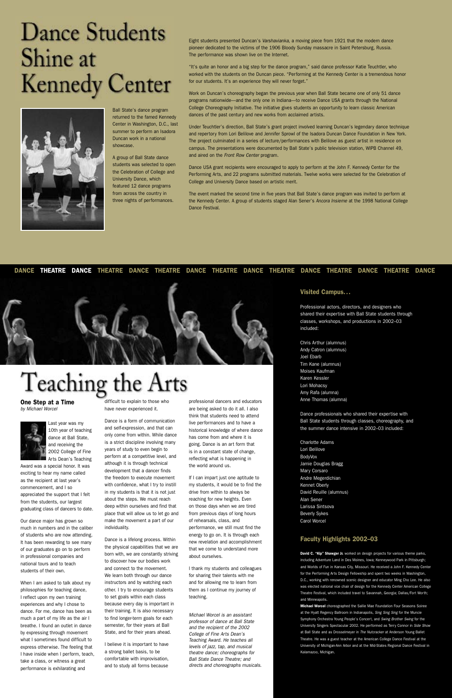Eight students presented Duncan's Varshavianka, a moving piece from 1921 that the modern dance pioneer dedicated to the victims of the 1906 Bloody Sunday massacre in Saint Petersburg, Russia. The performance was shown live on the Internet.

"It's quite an honor and a big step for the dance program," said dance professor Katie Teuchtler, who worked with the students on the Duncan piece. "Performing at the Kennedy Center is a tremendous honor for our students. It's an experience they will never forget."

Work on Duncan's choreography began the previous year when Ball State became one of only 51 dance programs nationwide—and the only one in Indiana—to receive Dance USA grants through the National College Choreography Initiative. The initiative gives students an opportunity to learn classic American dances of the past century and new works from acclaimed artists.

Under Teuchtler's direction, Ball State's grant project involved learning Duncan's legendary dance technique and repertory from Lori Belilove and Jennifer Sprowl of the Isadora Duncan Dance Foundation in New York. The project culminated in a series of lecture/performances with Belilove as guest artist in residence on campus. The presentations were documented by Ball State's public television station, WIPB Channel 49, and aired on the Front Row Center program.

Dance USA grant recipients were encouraged to apply to perform at the John F. Kennedy Center for the Performing Arts, and 22 programs submitted materials. Twelve works were selected for the Celebration of College and University Dance based on artistic merit.

The event marked the second time in five years that Ball State's dance program was invited to perform at the Kennedy Center. A group of students staged Alan Sener's Ancora Insieme at the 1998 National College Dance Festival.

#### **Visited Campus...**

Professional actors, directors, and designers who shared their expertise with Ball State students through classes, workshops, and productions in 2002–03 included:

Chris Arthur (alumnus) Andy Catron (alumnus) Joel Ebarb Tim Kane (alumnus) Moises Kaufman Karen Kessler Lori Mohacsy Amy Rafa (alumna) Anne Thomas (alumna)

Dance professionals who shared their expertise with Ball State students through classes, choreography, and the summer dance intensive in 2002–03 included:

Charlotte Adams Lori Belilove BodyVox Jamie Douglas Bragg Mary Corsaro Andre Megerdichian Kennet Oberly David Reuille (alumnus) Alan Sener Larissa Sintsova Beverly Sykes Carol Worcel

#### **Faculty Highlights 2002–03**

**David C. "Kip" Shawger Jr.** worked on design projects for various theme parks, including Adventure Land in Des Moines, Iowa; Kenneywood Park in Pittsburgh; and Worlds of Fun in Kansas City, Missouri. He received a John F. Kennedy Center for the Performing Arts Design Fellowship and spent two weeks in Washington, D.C., working with renowned scenic designer and educator Ming Cho Lee. He also was elected national vice chair of design for the Kennedy Center American College Theatre Festival, which included travel to Savannah, Georgia; Dallas/Fort Worth; and Minneapolis.

**Michael Worcel** choreographed the Sallie Mae Foundation Four Seasons Soiree at the Hyatt Regency Ballroom in Indianapolis, Sing Sing Sing for the Muncie Symphony Orchestra Young People's Concert, and Swing Brother Swing for the University Singers Spectacular 2002. He performed as Terry Connor in Side Show at Ball State and as Drosselmeyer in The Nutcracker at Anderson Young Ballet Theatre. He was a guest teacher at the American College Dance Festival at the University of Michigan-Ann Arbor and at the Mid-States Regional Dance Festival in Kalamazoo, Michigan.

### **Dance Students** Shine at **Kennedy Center**



Ball State's dance program returned to the famed Kennedy Center in Washington, D.C., last summer to perform an Isadora Duncan work in a national showcase.

A group of Ball State dance students was selected to open the Celebration of College and University Dance, which featured 12 dance programs from across the country in three nights of performances.

**One Step at a Time** by Michael Worcel



Last year was my 10th year of teaching dance at Ball State, and receiving the 2002 College of Fine Arts Dean's Teaching

Award was a special honor. It was exciting to hear my name called as the recipient at last year's commencement, and I so appreciated the support that I felt from the students, our largest graduating class of dancers to date.

Our dance major has grown so much in numbers and in the caliber of students who are now attending. It has been rewarding to see many of our graduates go on to perform in professional companies and national tours and to teach students of their own.

When I am asked to talk about my philosophies for teaching dance, I reflect upon my own training experiences and why I chose to dance. For me, dance has been as much a part of my life as the air I breathe. I found an outlet in dance by expressing through movement what I sometimes found difficult to express otherwise. The feeling that I have inside when I perform, teach, take a class, or witness a great performance is exhilarating and

difficult to explain to those who have never experienced it.

Dance is a form of communication and self-expression, and that can only come from within. While dance is a strict discipline involving many years of study to even begin to perform at a competitive level, and although it is through technical development that a dancer finds the freedom to execute movement with confidence, what I try to instill in my students is that it is not just about the steps. We must reach deep within ourselves and find that place that will allow us to let go and make the movement a part of our individuality.

Dance is a lifelong process. Within the physical capabilities that we are born with, we are constantly striving to discover how our bodies work and connect to the movement. We learn both through our dance instructors and by watching each other. I try to encourage students to set goals within each class because every day is important in their training. It is also necessary to find longer-term goals for each semester, for their years at Ball State, and for their years ahead.

I believe it is important to have a strong ballet basis, to be comfortable with improvisation, and to study all forms because

professional dancers and educators are being asked to do it all. I also think that students need to attend live performances and to have a historical knowledge of where dance has come from and where it is going. Dance is an art form that is in a constant state of change, reflecting what is happening in the world around us.

If I can impart just one aptitude to my students, it would be to find the drive from within to always be reaching for new heights. Even on those days when we are tired from previous days of long hours of rehearsals, class, and performance, we still must find the energy to go on. It is through each new revelation and accomplishment that we come to understand more about ourselves.

I thank my students and colleagues for sharing their talents with me and for allowing me to learn from them as I continue my journey of teaching.

Michael Worcel is an assistant professor of dance at Ball State and the recipient of the 2002 College of Fine Arts Dean's Teaching Award. He teaches all levels of jazz, tap, and musical theatre dance; choreographs for Ball State Dance Theatre; and directs and choreographs musicals.

#### **DANCE THEATRE DANCE THEATRE DANCE THEATRE DANCE THEATRE DANCE THEATRE DANCE THEATRE DANCE THEATRE DANCE**



### Teaching the Arts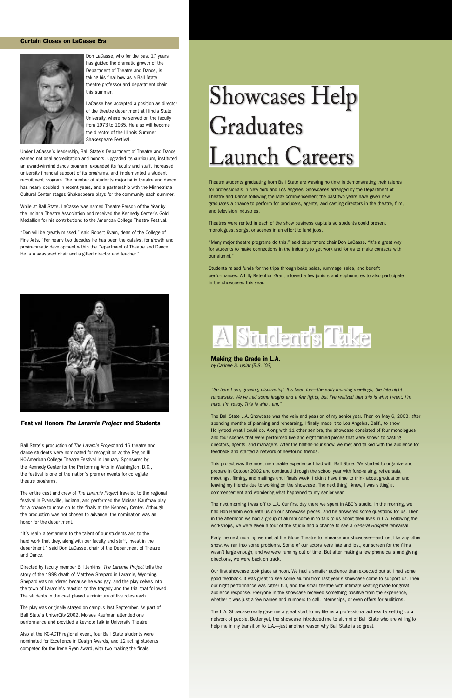Ball State's production of The Laramie Project and 16 theatre and dance students were nominated for recognition at the Region III KC-American College Theatre Festival in January. Sponsored by the Kennedy Center for the Performing Arts in Washington, D.C., the festival is one of the nation's premier events for collegiate theatre programs.

The entire cast and crew of The Laramie Project traveled to the regional festival in Evansville, Indiana, and performed the Moises Kaufman play for a chance to move on to the finals at the Kennedy Center. Although the production was not chosen to advance, the nomination was an honor for the department.

# **Showcases Help** Graduates **Launch Careers**

"It's really a testament to the talent of our students and to the hard work that they, along with our faculty and staff, invest in the department," said Don LaCasse, chair of the Department of Theatre and Dance.

Directed by faculty member Bill Jenkins, The Laramie Project tells the story of the 1998 death of Matthew Shepard in Laramie, Wyoming. Shepard was murdered because he was gay, and the play delves into the town of Laramie's reaction to the tragedy and the trial that followed. The students in the cast played a minimum of five roles each.

The play was originally staged on campus last September. As part of Ball State's UniverCity 2002, Moises Kaufman attended one performance and provided a keynote talk in University Theatre.

LaCasse has accepted a position as director of the theatre department at Illinois State University, where he served on the faculty from 1973 to 1985. He also will become the director of the Illinois Summer Shakespeare Festival.

Also at the KC-ACTF regional event, four Ball State students were nominated for Excellence in Design Awards, and 12 acting students competed for the Irene Ryan Award, with two making the finals.

Theatre students graduating from Ball State are wasting no time in demonstrating their talents for professionals in New York and Los Angeles. Showcases arranged by the Department of Theatre and Dance following the May commencement the past two years have given new graduates a chance to perform for producers, agents, and casting directors in the theatre, film, and television industries.

"So here I am, growing, discovering. It's been fun—the early morning meetings, the late night rehearsals. We've had some laughs and a few fights, but I've realized that this is what I want. I'm here. I'm ready. This is who I am."

Theatres were rented in each of the show business capitals so students could present monologues, songs, or scenes in an effort to land jobs.

"Many major theatre programs do this," said department chair Don LaCasse. "It's a great way for students to make connections in the industry to get work and for us to make contacts with our alumni."

The Ball State L.A. Showcase was the vein and passion of my senior year. Then on May 6, 2003, after spending months of planning and rehearsing, I finally made it to Los Angeles, Calif., to show Hollywood what I could do. Along with 11 other seniors, the showcase consisted of four monologues and four scenes that were performed live and eight filmed pieces that were shown to casting directors, agents, and managers. After the half-an-hour show, we met and talked with the audience for feedback and started a network of newfound friends.

Students raised funds for the trips through bake sales, rummage sales, and benefit performances. A Lilly Retention Grant allowed a few juniors and sophomores to also participate in the showcases this year.



#### **Curtain Closes on LaCasse Era**



The next morning I was off to L.A. Our first day there we spent in ABC's studio. In the morning, we had Bob Harbin work with us on our showcase pieces, and he answered some questions for us. Then in the afternoon we had a group of alumni come in to talk to us about their lives in L.A. Following the workshops, we were given a tour of the studio and a chance to see a General Hospital rehearsal.

Don LaCasse, who for the past 17 years has guided the dramatic growth of the Department of Theatre and Dance, is taking his final bow as a Ball State theatre professor and department chair this summer.

> The L.A. Showcase really gave me a great start to my life as a professional actress by setting up a network of people. Better yet, the showcase introduced me to alumni of Ball State who are willing to help me in my transition to L.A.—just another reason why Ball State is so great.

Under LaCasse's leadership, Ball State's Department of Theatre and Dance earned national accreditation and honors, upgraded its curriculum, instituted an award-winning dance program, expanded its faculty and staff, increased university financial support of its programs, and implemented a student recruitment program. The number of students majoring in theatre and dance has nearly doubled in recent years, and a partnership with the Minnetrista Cultural Center stages Shakespeare plays for the community each summer.

While at Ball State, LaCasse was named Theatre Person of the Year by the Indiana Theatre Association and received the Kennedy Center's Gold Medallion for his contributions to the American College Theatre Festival.

"Don will be greatly missed," said Robert Kvam, dean of the College of Fine Arts. "For nearly two decades he has been the catalyst for growth and programmatic development within the Department of Theatre and Dance. He is a seasoned chair and a gifted director and teacher."



**Making the Grade in L.A.** by Carinne S. Uslar (B.S. '03)

This project was the most memorable experience I had with Ball State. We started to organize and prepare in October 2002 and continued through the school year with fund-raising, rehearsals, meetings, filming, and mailings until finals week. I didn't have time to think about graduation and leaving my friends due to working on the showcase. The next thing I knew, I was sitting at commencement and wondering what happened to my senior year.

Early the next morning we met at the Globe Theatre to rehearse our showcase—and just like any other show, we ran into some problems. Some of our actors were late and lost, our screen for the films wasn't large enough, and we were running out of time. But after making a few phone calls and giving directions, we were back on track.

Our first showcase took place at noon. We had a smaller audience than expected but still had some good feedback. It was great to see some alumni from last year's showcase come to support us. Then our night performance was rather full, and the small theatre with intimate seating made for great audience response. Everyone in the showcase received something positive from the experience, whether it was just a few names and numbers to call, internships, or even offers for auditions.

#### **Festival Honors The Laramie Project and Students**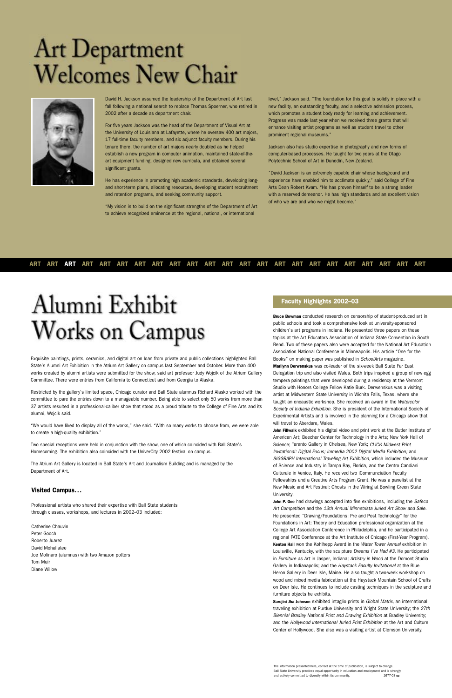Exquisite paintings, prints, ceramics, and digital art on loan from private and public collections highlighted Ball State's Alumni Art Exhibition in the Atrium Art Gallery on campus last September and October. More than 400 works created by alumni artists were submitted for the show, said art professor Judy Wojcik of the Atrium Gallery Committee. There were entries from California to Connecticut and from Georgia to Alaska.

Restricted by the gallery's limited space, Chicago curator and Ball State alumnus Richard Alasko worked with the committee to pare the entries down to a manageable number. Being able to select only 50 works from more than 37 artists resulted in a professional-caliber show that stood as a proud tribute to the College of Fine Arts and its alumni, Wojcik said.

"We would have liked to display all of the works," she said. "With so many works to choose from, we were able to create a high-quality exhibition."

Two special receptions were held in conjunction with the show, one of which coincided with Ball State's Homecoming. The exhibition also coincided with the UniverCity 2002 festival on campus.

The Atrium Art Gallery is located in Ball State's Art and Journalism Building and is managed by the Department of Art.

#### **Visited Campus...**

Professional artists who shared their expertise with Ball State students through classes, workshops, and lectures in 2002–03 included:

Catherine Chauvin Peter Gooch Roberto Juarez David Mohallatee Joe Molinaro (alumnus) with two Amazon potters Tom Muir Diane Willow

#### **Faculty Highlights 2002–03**

**Bruce Bowman** conducted research on censorship of student-produced art in public schools and took a comprehensive look at university-sponsored children's art programs in Indiana. He presented three papers on these topics at the Art Educators Association of Indiana State Convention in South Bend. Two of these papers also were accepted for the National Art Education Association National Conference in Minneapolis. His article "One for the Books" on making paper was published in SchoolArts magazine. **Marilynn Derwenskus** was co-leader of the six-week Ball State Far East Delegation trip and also visited Wales. Both trips inspired a group of new egg tempera paintings that were developed during a residency at the Vermont Studio with Honors College Fellow Katie Burk. Derwenskus was a visiting artist at Midwestern State University in Wichita Falls, Texas, where she taught an encaustic workshop. She received an award in the Watercolor Society of Indiana Exhibition. She is president of the International Society of Experimental Artists and is involved in the planning for a Chicago show that will travel to Aberdare, Wales.

John P. Gee had drawings accepted into five exhibitions, including the Safeco Art Competition and the 13th Annual Minnetrista Juried Art Show and Sale. He presented "Drawing/Foundations: Pre and Post Technology" for the Foundations in Art: Theory and Education professional organization at the College Art Association Conference in Philadelphia, and he participated in a regional FATE Conference at the Art Institute of Chicago (First-Year Program). **Kenton Hall** won the Kohlhepp Award in the Water Tower Annual exhibition in Louisville, Kentucky, with the sculpture Dreams I've Had #3. He participated in Furniture as Art in Jasper, Indiana; Artistry in Wood at the Domont Studio Gallery in Indianapolis; and the Haystack Faculty Invitational at the Blue Heron Gallery in Deer Isle, Maine. He also taught a two-week workshop on wood and mixed media fabrication at the Haystack Mountain School of Crafts on Deer Isle. He continues to include casting techniques in the sculpture and furniture objects he exhibits.

**John Fillwalk** exhibited his digital video and print work at the Butler Institute of American Art; Beecher Center for Technology in the Arts; New York Hall of Science; Taranto Gallery in Chelsea, New York; CLICK Midwest Print Invitational: Digital Focus; Immedia 2002 Digital Media Exhibition; and SIGGRAPH International Traveling Art Exhibition, which included the Museum of Science and Industry in Tampa Bay, Florida, and the Centro Candiani Culturale in Venice, Italy. He received two iCommunciation Faculty Fellowships and a Creative Arts Program Grant. He was a panelist at the New Music and Art Festival: Ghosts in the Wiring at Bowling Green State University.

**Sarojini Jha Johnson** exhibited intaglio prints in Global Matrix, an international traveling exhibition at Purdue University and Wright State University; the 27th Biennial Bradley National Print and Drawing Exhibition at Bradley University; and the Hollywood International Juried Print Exhibition at the Art and Culture Center of Hollywood. She also was a visiting artist at Clemson University.

#### **ART ART ART ART ART ART ART ART ART ART ART ART ART ART ART ART ART ART ART ART ART ART ART**

### Alumni Exhibit **Works on Campus**

# Art Department<br>Welcomes New Chair



David H. Jackson assumed the leadership of the Department of Art last fall following a national search to replace Thomas Spoerner, who retired in 2002 after a decade as department chair.

For five years Jackson was the head of the Department of Visual Art at the University of Louisiana at Lafayette, where he oversaw 400 art majors, 17 full-time faculty members, and six adjunct faculty members. During his tenure there, the number of art majors nearly doubled as he helped establish a new program in computer animation, maintained state-of-theart equipment funding, designed new curricula, and obtained several significant grants.

He has experience in promoting high academic standards, developing longand short-term plans, allocating resources, developing student recruitment and retention programs, and seeking community support.

"My vision is to build on the significant strengths of the Department of Art to achieve recognized eminence at the regional, national, or international

level," Jackson said. "The foundation for this goal is solidly in place with a new facility, an outstanding faculty, and a selective admission process, which promotes a student body ready for learning and achievement. Progress was made last year when we received three grants that will enhance visiting artist programs as well as student travel to other prominent regional museums."

Jackson also has studio expertise in photography and new forms of computer-based processes. He taught for two years at the Otago Polytechnic School of Art in Dunedin, New Zealand.

"David Jackson is an extremely capable chair whose background and experience have enabled him to acclimate quickly," said College of Fine Arts Dean Robert Kvam. "He has proven himself to be a strong leader with a reserved demeanor. He has high standards and an excellent vision of who we are and who we might become."

The information presented here, correct at the time of publication, is subject to change. Ball State University practices equal opportunity in education and employment and is strongly and actively committed to diversity within its community. 1677-03 **uc**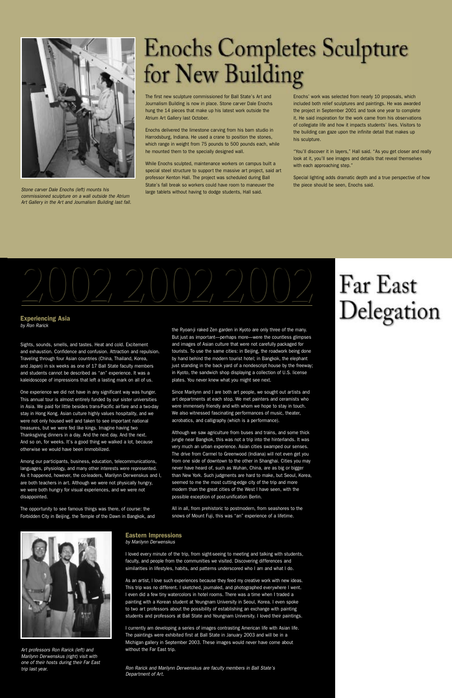The first new sculpture commissioned for Ball State's Art and Journalism Building is now in place. Stone carver Dale Enochs hung the 14 pieces that make up his latest work outside the Atrium Art Gallery last October.

Enochs delivered the limestone carving from his barn studio in Harrodsburg, Indiana. He used a crane to position the stones, which range in weight from 75 pounds to 500 pounds each, while he mounted them to the specially designed wall.

While Enochs sculpted, maintenance workers on campus built a special steel structure to support the massive art project, said art professor Kenton Hall. The project was scheduled during Ball State's fall break so workers could have room to maneuver the large tablets without having to dodge students, Hall said.

Enochs' work was selected from nearly 10 proposals, which included both relief sculptures and paintings. He was awarded the project in September 2001 and took one year to complete it. He said inspiration for the work came from his observations of collegiate life and how it impacts students' lives. Visitors to the building can gaze upon the infinite detail that makes up his sculpture.

"You'll discover it in layers," Hall said. "As you get closer and really look at it, you'll see images and details that reveal themselves with each approaching step."

Special lighting adds dramatic depth and a true perspective of how the piece should be seen, Enochs said.



#### **Experiencing Asia** by Ron Rarick

Sights, sounds, smells, and tastes. Heat and cold. Excitement and exhaustion. Confidence and confusion. Attraction and repulsion. Traveling through four Asian countries (China, Thailand, Korea, and Japan) in six weeks as one of 17 Ball State faculty members and students cannot be described as "an" experience. It was a kaleidoscope of impressions that left a lasting mark on all of us.

One experience we did not have in any significant way was hunger. This annual tour is almost entirely funded by our sister universities in Asia. We paid for little besides trans-Pacific airfare and a two-day stay in Hong Kong. Asian culture highly values hospitality, and we were not only housed well and taken to see important national treasures, but we were fed like kings. Imagine having two Thanksgiving dinners in a day. And the next day. And the next. And so on, for weeks. It's a good thing we walked a lot, because otherwise we would have been immobilized.

Among our participants, business, education, telecommunications, languages, physiology, and many other interests were represented. As it happened, however, the co-leaders, Marilynn Derwenskus and I, are both teachers in art. Although we were not physically hungry, we were both hungry for visual experiences, and we were not disappointed.

The opportunity to see famous things was there, of course: the

Forbidden City in Beijing, the Temple of the Dawn in Bangkok, and

the Ryoan-ji raked Zen garden in Kyoto are only three of the many. But just as important—perhaps more—were the countless glimpses and images of Asian culture that were not carefully packaged for tourists. To use the same cities: in Beijing, the roadwork being done by hand behind the modern tourist hotel; in Bangkok, the elephant just standing in the back yard of a nondescript house by the freeway; in Kyoto, the sandwich shop displaying a collection of U.S. license plates. You never knew what you might see next.

Since Marilynn and I are both art people, we sought out artists and art departments at each stop. We met painters and ceramists who were immensely friendly and with whom we hope to stay in touch. We also witnessed fascinating performances of music, theater, acrobatics, and calligraphy (which is a performance).

Although we saw agriculture from buses and trains, and some thick jungle near Bangkok, this was not a trip into the hinterlands. It was very much an urban experience. Asian cities swamped our senses. The drive from Carmel to Greenwood (Indiana) will not even get you from one side of downtown to the other in Shanghai. Cities you may never have heard of, such as Wuhan, China, are as big or bigger than New York. Such judgments are hard to make, but Seoul, Korea, seemed to me the most cutting-edge city of the trip and more modern than the great cities of the West I have seen, with the possible exception of post-unification Berlin.

All in all, from prehistoric to postmodern, from seashores to the

### Far East Delegation

snows of Mount Fuji, this was "an" experience of a lifetime.



#### **Eastern Impressions**

by Marilynn Derwenskus

I loved every minute of the trip, from sight-seeing to meeting and talking with students, faculty, and people from the communities we visited. Discovering differences and similarities in lifestyles, habits, and patterns underscored who I am and what I do.

As an artist, I love such experiences because they feed my creative work with new ideas. This trip was no different. I sketched, journaled, and photographed everywhere I went. I even did a few tiny watercolors in hotel rooms. There was a time when I traded a painting with a Korean student at Yeungnam University in Seoul, Korea. I even spoke to two art professors about the possibility of establishing an exchange with painting students and professors at Ball State and Yeungnam University. I loved their paintings.

I currently am developing a series of images contrasting American life with Asian life. The paintings were exhibited first at Ball State in January 2003 and will be in a Michigan gallery in September 2003. These images would never have come about without the Far East trip.

Ron Rarick and Marilynn Derwenskus are faculty members in Ball State's Department of Art.

Art professors Ron Rarick (left) and Marilynn Derwenskus (right) visit with one of their hosts during their Far East trip last year.



Stone carver Dale Enochs (left) mounts his commissioned sculpture on a wall outside the Atrium Art Gallery in the Art and Journalism Building last fall.

### **Enochs Completes Sculpture** for New Building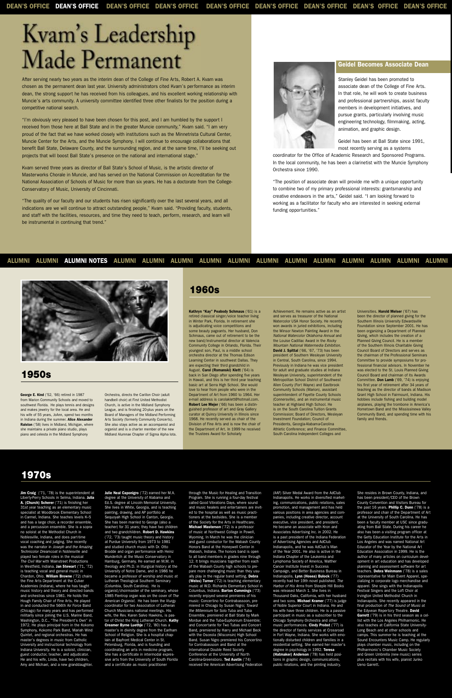After serving nearly two years as the interim dean of the College of Fine Arts, Robert A. Kvam was chosen as the permanent dean last year. University administrators cited Kvam's performance as interim dean, the strong support he has received from his colleagues, and his excellent working relationship with Muncie's arts community. A university committee identified three other finalists for the position during a competitive national search.

"I'm obviously very pleased to have been chosen for this post, and I am humbled by the support I received from those here at Ball State and in the greater Muncie community," Kvam said. "I am very proud of the fact that we have worked closely with institutions such as the Minnetrista Cultural Center, Muncie Center for the Arts, and the Muncie Symphony. I will continue to encourage collaborations that benefit Ball State, Delaware County, and the surrounding region, and at the same time, I'll be seeking out projects that will boost Ball State's presence on the national and international stage."

Kvam served three years as director of Ball State's School of Music, is the artistic director of Masterworks Chorale in Muncie, and has served on the National Commission on Accreditation for the National Association of Schools of Music for more than six years. He has a doctorate from the College-Conservatory of Music, University of Cincinnati.

"The quality of our faculty and our students has risen significantly over the last several years, and all indications are we will continue to attract outstanding people," Kvam said. "Providing faculty, students, and staff with the facilities, resources, and time they need to teach, perform, research, and learn will be instrumental in continuing that trend."



#### **Geidel Becomes Associate Dean**

Stanley Geidel has been promoted to associate dean of the College of Fine Arts. In that role, he will work to create business and professional partnerships, assist faculty members in development initiatives, and pursue grants, particularly involving music engineering technology, filmmaking, acting, animation, and graphic design.

Geidel has been at Ball State since 1991, most recently serving as a systems

coordinator for the Office of Academic Research and Sponsored Programs. In the local community, he has been a clarinetist with the Muncie Symphony Orchestra since 1990.

"The position of associate dean will provide me with a unique opportunity to combine two of my primary professional interests: grantsmanship and creative endeavors in the arts," Geidel said. "I am looking forward to working as a facilitator for faculty who are interested in seeking external funding opportunities."

#### **ALUMNI ALUMNI ALUMNI NOTES ALUMNI ALUMNI ALUMNI ALUMNI ALUMNI ALUMNI ALUMNI ALUMNI ALUMNI ALUMN ALUMNI ALUMNI**



### Kvam's Leadership Made Permanent

**George E. Kind** ('52, '66) retired in 1987 from Marion Community Schools and moved to southwest Florida. He plays tennis and designs and makes jewelry for the local area. He and his wife of 55 years, JoAnn, spend two months in Indiana during the summer. **Alice Alexander Ralston** ('58) lives in Midland, Michigan, where she maintains a private piano studio, plays piano and celesta in the Midland Symphony

Orchestra, directs the Carillon Choir (adult handbell choir) at First United Methodist Church, is active in the Midland Symphony League, and is finishing 20-plus years on the Board of Managers of the Midland Performing Arts Society (formerly Community Concerts). She also stays active as an accompanist and organist and is a charter member of the new Midland Alumnae Chapter of Sigma Alpha Iota.

**Jim Craig** ('71, '78) is the superintendent at Liberty-Perry Schools in Selma, Indiana. **Julia A. (Church) Scherer** ('71) is finishing her 31st year teaching as an elementary music specialist at Woodbrook Elementary School

**Kathryn "Kay" Peabody Schmaus** ('61) is a retired classical singer/voice teacher living in Winter Park, Florida. In retirement she is adjudicating voice competitions and some beauty pageants. Her husband, Don Schmaus, came out of retirement to be the new band/instrumental director at Valencia Community College in Orlando, Florida. Their youngest son, Paul, is a middle school orchestra director at the Thomas Edison Learning Center in southwest Dallas. They are expecting their third grandchild in August. **Carol (Romanski) Klett** ('64) is back in San Diego after spending five years in Hawaii, and this is her third year teaching basic art at Serra High School. She would love to hear from people who were in the Department of Art from 1960 to 1964. Her e-mail address is carolaklett@hotmail.com. **Robert Lee Mejer** ('66) has been a distinguished professor of art and Gray Gallery curator at Quincy University in Illinois since 1968. He recently served as chair of the Division of Fine Arts and is now the chair of the Department of Art. In 1999 he received the Trustees Award for Scholarly

Achievement. He remains active as an artist and serves as treasurer of the National Watercolor USA Honor Society. He recently won awards in juried exhibitions, including the Winsor Newton Painting Award in the National Watercolor Oklahoma Annual and the Louise Cadillac Award in the Rocky Mountain National Watermedia Exhibition. **David J. Spittal** ('66, '67, '73) has been president of Southern Wesleyan University in Central, South Carolina, since 1994. Previously in Indiana he was vice president for adult and graduate studies at Indiana Wesleyan University, superintendent of the Metropolitan School District of Southwest Allen County (Fort Wayne) and Eastbrook Community Schools (Marion), assistant superintendent of Fayette County Schools (Connersville), and an instrumental music teacher at Highland High School. He is on the South Carolina Tuition Grants Commission; Board of Directors, Wesleyan Investment Foundation; Council of Presidents, Georgia-Alabama-Carolina Athletic Conference; and Finance Committee, South Carolina Independent Colleges and

Universities. **Harold Melser** ('67) has been the director of planned giving for the Southern Illinois University Edwardsville Foundation since September 2001. He has been organizing a Department of Planned Giving, which includes the creation of a Planned Giving Council. He is a member of the Southern Illinois Charitable Giving Council Board of Directors and serves as the chairman of the Professional Seminars Committee to provide symposiums for professional financial advisors. In November he was elected to the St. Louis Planned Giving Council Board and chairman of its Awards Committee. **Don Lamb** ('69, '74) is enjoying his first year of retirement after 34 years of teaching as the director of bands at Madison Grant High School in Fairmount, Indiana. His hobbies include fishing and building model airplanes, playing the trombone in America's Hometown Band and the Mississinewa Valley Community Band, and spending time with his family and friends.

#### **1950s**

#### **1960s**

in Carmel, Indiana. She teaches levels K–5 and has a large choir, a recorder ensemble, and a percussion ensemble. She is a soprano soloist at the Methodist Church in Noblesville, Indiana, and does part-time vocal coaching and judging. She recently was the narrator in Joseph and the Amazing Technicolor Dreamcoat in Noblesville and played two female roles in the musical The Civil War with Mainstreet Productions in Westfield, Indiana. **Jan Stewart** ('71, '72) is teaching vocal and general music in Chardon, Ohio. **William Browne** ('72) chairs the Fine Arts Department at the Culver Academies (Indiana), where he has taught music history and theory and directed bands and orchestras since 1981. He holds the Hough Family Chair of Fine Arts. He played in and conducted the 566th Air Force Band (Chicago) for many years and has performed militarily since joining the U.S. Marine Band, Washington, D.C., "The President's Own" in 1972. He plays principal horn in the Kokomo Symphony, Kokomo Park Band, Mariah Wind Quintet, and regional orchestras. He has master's degrees in music from Catholic University and instructional technology from Indiana University. He is a soloist, clinician, guest conductor, teacher, and adjudicator. He and his wife, Linda, have two children, Amy and Michael, and a new granddaughter.

**Julie Neal Caponigro** ('72) earned her M.A. degree at the University of Alabama and Ed.S. degree at Lincoln Memorial University. She lives in White, Georgia, and is teaching painting, drawing, and AP portfolio at Sequoyah High School in Canton, Georgia. She has been married to George (also a teacher) for 31 years; they have two children and two grandchildren. **Robert D. Hawkins** ('72, '73) taught music theory and history at Purdue University from 1973 to 1981 and studied church music with Dr. Otto Brodde and organ performance with Heinz Wunderlich at the Music Conservatory in Hamburg, Germany. He earned an M.M. in theology and Ph.D. in liturgical history at the University of Notre Dame, and in 1986 he became a professor of worship and music at Lutheran Theological Southern Seminary (Columbia, South Carolina). He is organist/choirmaster of the seminary, whose 1985 Flentrop organ was on the cover of The American Organist. He has been the liturgy coordinator for two Association of Lutheran Church Musicians national meetings. His wife, the Rev. Karen Salvo Hawkins, is pastor of Christ the King Lutheran Church. **Kathy Creamer Byrne Luethje** ('72, '80) has a master's in divinity degree from the Earlham School of Religion. She is a hospital chaplain at Bayfront Medical Center in St. Petersburg, Florida, and is founding and coordinating an arts in medicine program. She has a certificate in intermodal expres sive arts from the University of South Florida and a certificate as music practitioner

through the Music for Healing and Transition Program. She is running a four-day festival called Good Vibrations Days, where sound and music healers and entertainers are invited to the hospital as well as music practi-

tioners at the bedsides. She is a member of the Society for the Arts in Healthcare. **Michael Masterson** ('72) is a professor of music at Northwest College in Powell, Wyoming. In March he was the clinician and guest conductor for the Wabash County Honors Band at the Honeywell Center in Wabash, Indiana. The honors band is open to all band members in grades nine through 12. It brings musicians together from each of the Wabash County high schools to prepare more challenging music than they usually play in the regular band setting. **Debra (Weiss) Turner** ('72) is teaching elementary music at W.D. Richards Elementary School in Columbus, Indiana. **Barton Cummings** ('73) recently enjoyed several premieres of his music: Concertino for Contrabassoon, premiered in Chicago by Susan Nigro; Toward the Millennium for Solo Tuba and Tuba Ensemble, premiered at Ball State by Mark Mordue and the Tuba-Euphonium Ensemble; and Concertante for Two Tubas and Concert Band, premiered by Harry and Michael Beck with the Osceola (Wisconsin) High School Band. Susan Nigro premiered his Concertino for Contrabassoon and Band at the International Double Reed Society Conference at the University of North Carolina-Greensboro. **Ted Austin** ('74) received the American Advertising Federation

(AAF) Silver Medal Award from the AdClub Indianapolis. He works in diversified marketing, communications, public relations, sales motion, and management and has held various positions in area agencies and companies, including creative director, account executive, vice president, and president. He became an associate with Kron and Associates Advertising Inc. in 2002. He is a past president of the Indiana Federation of Advertising Agencies and AdClub Indianapolis, and he was AdClub's Man of the Year 2001. He also is active in the Indiana Chapter of the Leukemia and Lymphoma Society of America, Walther Cancer Institute Invest in Success Campaign, and Better Business Bureau in Indianapolis. **Lynn (Hosea) Bulock** ('77) recently had her 19th novel published. The Harbor of His Arms from Steeple Hill Books was released March 1. She lives in Thousand Oaks, California, with her husband and two sons. **Michael Kramer** ('77) is judge of Noble Superior Court in Indiana. He and his wife have three children. He is a passive participant in music as a subscriber to the Chicago Symphony Orchestra and other music performances. **Cindy Probst** ('77) is the director of family services at Crossroad in Fort Wayne, Indiana. She works with emotionally disturbed children and families in a residential setting. She earned her master's degree in psychology in 1992. **Teresa (Hatmaker) Anderson** ('78) has held positions in graphic design, communications, public relations, and the printing industry.

She resides in Brown County, Indiana, and has been president/CEO of the Brown County Convention and Visitors Bureau for the past 16 years. **Phillip C. Dunn** ('78) is a professor and chair of the Department of Art at the University of South Carolina. He has been a faculty member at USC since graduating from Ball State. During his career he also has been a visiting program officer at the Getty Education Institute for the Arts in Los Angeles and was named National Art Educator of the Year by the National Art Education Association in 1999. He is the author of many articles on curriculum development in art education and has developed planning and assessment software for art teachers. **Debra Weinmann** ('78) is a sales representative for Main Event Apparel, specializing in corporate logo merchandise and apparel. She sings with the Indianapolis Festival Singers and the Loft Choir at Irvington United Methodist Church in Indianapolis. She recently appeared in the final production of The Sound of Music at the Edyvean Repertory Theatre. **David** Garrett ('79) is in his third season as a cellist with the Los Angeles Philharmonic. He also teaches at California State University-Long Beach and at other schools and camps. This summer he is teaching at the Sound Encounters Music Camp. He regularly plays chamber music, including on the Philharmonic's Chamber Music Society and Green Umbrella (new music) series plus recitals with his wife, pianist Junko Ueno Garrett.

#### **1970s**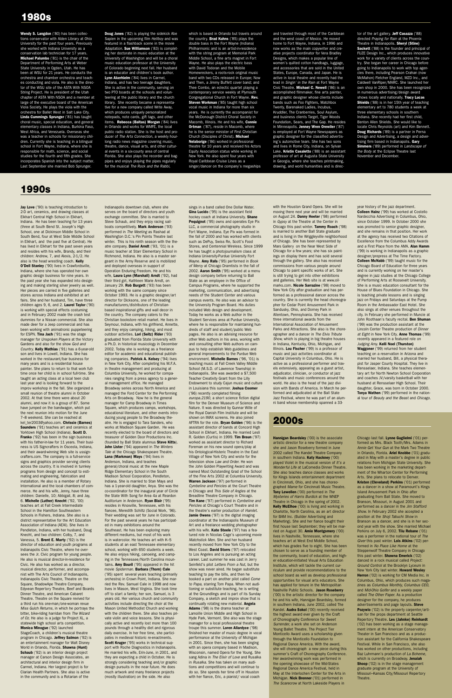**Jay Love** ('90) is teaching introduction to 2-D art, ceramics, and drawing classes at Elkhart Central High School in Elkhart, Indiana. He has been teaching for 13 years (three at South Bend St. Joseph's High School, one at Dickinson Middle School in South Bend, four at West Side Middle School in Elkhart, and the past five at Central). He has lived in Elkhart for the past seven years and resides with his wife, Brandy, and their children: Andrew, 7, and Alexis, 2-1/2. He also is the head wrestling coach. **Kelly O'Dell Stanley** ('90) lives in Crawfordsville, Indiana, where she has operated her own graphic design business for nine years. In the past year she has expanded into designing and making sterling silver jewelry as well. Her pieces are carried in five galleries and stores across Indiana and exhibited at art fairs. She and her husband, Tim, have three children ages 9, 6, and 2. **Laurel Taylor** ('90) is working with special effects costuming and in February 2002 made the crash test dummies for a Nissan commercial. She also made deer for a Jeep commercial and has been working with animatronic puppeteering for ESPN. **Tina Jach** ('91) was the stage manager for Unspoken Players at the Victory Gardens and also for the show God and Country. **Kelly Mathias** ('91) has a 6-year-old son and lives in Lowell, Indiana. She has worked in the restaurant/bar business for many years and is a residential house painter. She plans to return to that work fulltime once her child is in school full-time. She taught an acting class at a local teen club last year and is looking forward to the improv workshop in the fall. She organized a small reunion of theatre alumni in October 2002. At that time there were about 20 alumni, and now it is a group of 87. Some have jumped on the bandwagon, which put the next reunion into motion for the June 7–8 weekend. She can be reached at kel\_ter2003@yahoo.com. **Chrissie (Barnes) Saunders** ('91) teaches art and ceramics at Yorktown High School (Indiana). **Scott D. Franko** ('92) has been in the sign business with his father-in-law for 11 years. Their business is US Signcrafters in Osceola, Indiana, and their award-winning Web site is ussigncrafters.com. The company is a full-service signs and graphics provider serving clients across the country. It is involved in turnkey programs from design and concept to estimating and engineering, fabrication and installation. He also is a member of Rotary International and the local chambers of commerce. He and his wife, Jenny, have three children: Danielle, 10; Abbigail, 8; and Jay, 6. **Michelle (Luther) Knecht** ('92, '00) teaches art at Fall Creek Intermediate School in the Hamilton Southeastern Schools in Fishers, Indiana. She also is a district representative for the Art Education Association of Indiana (AEAI). She lives in Pendleton, Indiana, with her husband, Doug Knecht, and two children: Colby, 7, and Vanessa, 5. **Brent E. Marty** ('92) is the director of education and youth programs at Indianapolis Civic Theatre, where he oversees the Jr. Civic program for young people. He also is musical director-in-residence for Civic. He also has worked as a director, musical director, performer, and accompanist with The Arts Council of Indianapolis, Indianapolis Civic Theatre, Theatre on the Square, ShadowApe Theatre Company, Edyvean Repertory Theatre, Beef and Boards Dinner Theatre, and American Cabaret Theatre. Theatre on the Square revived for a third run his one-man/one-woman revue Miss Gulch Returns, in which he portrays the bitter, bike-riding harridan from The Wizard of Oz. He also is a judge for Project XL, a statewide high school arts competition. **Monica Minogue** ('92) launched StageCoach, a children's musical theatre program in Chicago. **Jeffrey Salmon** ('92) is an entertainment manager for Walt Disney World in Orlando, Florida. **Shawna (Hunt) Schaub** ('92) is an interior design project manager at Carson Design Associates, an architectural and interior design firm in Carmel, Indiana. Her largest project is for Clarian Health Partners. She also is active in the community and is a Rotarian of the

Indianapolis downtown club, where she

serves on the board of directors and youth exchange committee. She is married to Steve Schaub, and they enjoy racing sailboats competitively. **Mark Anderson** ('93) performed in The Meeting as Rashad at Washington D.C.'s Pin Points Theatre last winter. This is his ninth season with the theatre company. **Daniel Arndt** ('93, '01) is a music teacher at Starr Elementary School in Richmond, Indiana. He also is a master sergeant in the Army Reserve and is mobilized and deployed overseas in support of Operation Enduring Freedom. He and his wife, **Laura Lynn (Marshall) Arndt** ('92), had their third girl, Kathleen Marie Arndt, on January 29. **Rob Burgett** ('93) has been working with the same company since October 1993. He is a graphic designer/art director for Dicksons, one of the leading manufacturers/distributors of Christianbased inspirational gifts and wall decor in the country. The company caters to the Christian bookstore retail market. He lives in Seymour, Indiana, with his girlfriend, Annette, and they enjoy camping, hiking, and most outdoor activities. **Lori (Seitz) Rider** ('93) graduated from Florida State University with a Ph.D. in historical musicology in December 2002. Today she is working as a freelance editor for academic and educational publishing companies. **Patrick A. Kelsey** ('94) lives in New York City. After completing his M.F.A. in theatre management and producing at Columbia University, he worked for companies ranging from a press agency to a general management office. He managed Broadway series across North America and managed the Ford Center for the Performing Arts on Broadway. Now he is the general manager for Camp Broadway in Times Square, which produces camps, workshops, educational literature, and other events introducing young people to the Broadway theatre. He is engaged to Tara Sanders, who works at Madison Square Garden. He was recently elected to the board of directors and treasurer of Golden Door Productions Inc. (founded by Ball State alumnus **Steve Kitts**). **John Lister** ('94) appeared in The Winters Tale at the Chicago Shakespeare Theatre. **Lana (Markman) Mays** ('94) lives in Anderson, Indiana, and teaches general/choral music at the new Maple Ridge Elementary School in the South Madison School Corporation, Pendleton, Indiana. She is married to Stan Mays and has a 1-year-old daughter, Anya. She was the co-coordinator for the inaugural year of Circle the State With Song for Area 4a at Reardon Auditorium in Anderson. **Ryan Blair** ('95) resides in Knoxville, Tennessee, with his

fiancee, Meredith Schiltz (Social Work, '96).

Their wedding was set for June in Colorado. For the past several years he has participated in many exhibitions around the Southeast. He has been exploring many different mediums, but most of his work is in watercolor. He teaches art with K–5 students at an east Tennessee elementary school, working with 650 students a week. He also enjoys hiking, canoeing, and camping in the Tennessee/North Carolina mountains. **Amy Bouril** ('95) appeared in the hit movie Spiderman. **Barbara (Thorn) Cale** ('95) spent several years teaching (primarily orchestra) in Crown Point, Indiana. She married the Rev. Samuel Cale in 1998 and now lives in Mason, West Virginia. She took time off to start a family; her son, Samuel, is 3 years old. Her various church and community activities include directing the choir at the Mason United Methodist Church and working with the children there. She also teaches private violin and voice lessons. She is physically active and recently lost more than 100 pounds through a healthy diet and rigorous daily exercise. In her free time, she participates in medieval historic re-enactments. **Scott Kruger** ('95) works in technical support with Roche Diagnostics in Indianapolis. He married his wife, Erin-June, in 2001, and they are expecting a child in October. He is strongly considering teaching and/or graphic design pursuits in the near future. He does much artwork and many freelance projects (mostly illustration) on the side. He also

sings in a band called One Dollar Water. **Gina Lucido** ('95) is the assistant field hockey coach at Indiana University. **Shane Pequignot** ('95) owns and operates Eye Pix LLC, a commercial photography studio in Fort Wayne, Indiana. Eye Pix was formed in the fall of 2000 and has worked with clients such as DePuy, Swiss Re, Scott's Food Stores, and Centennial Wireless. Since 1999 he has taught a photojournalism class at Indiana University-Purdue University Fort Wayne. **Amy Rafa** ('95) performed in Book of Mercy at Chicago Dramtists in the fall of 2002. **Aaron Smith** ('95) worked at a menu design company before returning to Ball State as an employee in the Office of Campus Programs, where he supported the marketing, communication, and advertising needs of the Student Center and various campus events. He also was an advisor to the University Program Board. His duties included Web design and development. Today he works as a Web author in the Student Services area at Purdue University, where he is responsible for maintaining hundreds of staff and student/public Web pages. He also is an advising resource for other Web authors in his area, working with and consulting other Web authors on campus to help establish Web guidelines and general improvements to the Purdue Web environment. **Michelle Barnes** ('96, '01) is teaching music at Fall Creek Valley Middle School (M.S.D. of Lawrence Township) in Indianapolis. She was awarded a \$7,500 Teacher Creativity Grant from the Lilly Endowment to study Cajun music and culture in Louisiana this summer. **Joshua Coomer** ('96) recently completed filming europa.2190, a short science fiction digital film for the Denver Museum of Science and Nature. It was directed by Gunnar Wille of the Royal Danish Film Institute and will be shown on IMAX screens. He also joined AFTRA for the role. **Bryan Golden** ('96) is the assistant director of bands at Concord High School in Elkhart, Indiana. He married Lesli R. Golden (Curtis) in 1999. **Tim Braun** ('97) worked as assistant director to Richard Foreman on his new sound opera/play at his Ontological-Histeric Theatre in the East Village of New York City and wrote for the television show Law and Order. He won the John Golden Playwriting Award and was named Most Outstanding Grad of the School of the Fine Arts 2002 at Columbia University. **Warren Jackson** ('97) performed in Cymbeline and Pericles at the Court Theatre in Chicago and This Side of Angles at the Breadline Theatre Company in Chicago. **Tim Kane** ('97) performed in Cymbeline and Pericles at Chicago's Court Theatre and in the theatre's earlier production of Hamlet. **Jamie Owens** ('97) is the digital imaging coordinator at the Indianapolis Museum of Art and a freelance wedding photographer with his wife. **Kate Steele** ('97) has a featured role in Nicolas Cage's upcoming movie Matchstick Men. She and her husband recently moved from New York City to the West Coast. **David Storrs** ('97) relocated to Los Angeles and is pursuing an acting career. Last summer he was cast in Jerry Seinfeld's pilot Letters From a Nut, but the show was never aired. He began substitute teaching to pay the bills, and then he booked a part on another pilot called Come to Papa, starring Tom Papa. When not auditioning or substitute teaching, he is writing at the Groundlings and is part of its Sunday Company, a sketch and improv show that is continually rotating new material. **Angela** Adams ('98) is the drama teacher at Lamoille Union Middle and High School in Hyde Park, Vermont. She also was the stage manager for a local professional theatre troupe this summer. **Loren Allardyce** ('98) finished her master of music degree in vocal performance at the University of Michigan in 2001. Since then, she has been singing with an opera company based in Madison Wisconsin, named Opera for the Young. She sang Adina in The Elixir of Love and Rusalka in Rusalka. She has taken on many auditions and competitions and will continue to do so. She spends her time off in Houston with her fiance, Eric, a pianist/ vocal coach

**Wendy S. Langdon** ('80) has been collections conservator with Alden Library at Ohio University for the past four years. Previously she worked with Indiana University as a conservation lab technician for 17 years. **Michael Palumbo** ('81) is the chair of the Department of Performing Arts at Weber State University in Ogden, Utah. He has been at WSU for 21 years. He conducts the orchestra and chamber orchestra and teaches conducting and viola. He also is the director of the WSU site of the ASTA With NSOA String Project. He is president of the Utah chapter of ASTA With NSOA and a member at large of the executive board of the American Viola Society. He plays the viola with the orchestra for Ballet West in Salt Lake City. **Linda Cummings Sprunger** ('81) has taught choral music, special education, and general elementary classes in Indiana, Burkina Faso, West Africa, and Venezuela. Overseas she was a teacher in schools for missionary children. Currently she is teaching in a bilingual school in Fort Wayne, Indiana, where she is responsible for math, science, and social studies for the fourth and fifth grades. She incorporates Spanish into the subject matter. Last September she married Bob Sprunger.

**Doug Jones** ('82) is playing the sidekick Abe Sapien in the upcoming film Hellboy and was featured in a flashback scene in the movie Adaptation. **Sue Williamson** ('83) is completing her doctorate in music education at the University of Washington and will be a choral music education professor at the University of Colorado beginning next fall. Her husband is an educator and children's book author. **Lynn Akerhielm** ('84) lives in Carmel, Indiana, and has two teenage daughters. She is active in the community, serving on two PTO boards at the schools and volunteering at the public library and the church library. She recently became a representative for a new company called Write Away, which produces uniquely personalized notepads, note cards, gift tags, and other items. **Rebecca (Baltas) Morgan** ('84) lives in Orlando and works for WMFE, the local public radio station. She is the host and producer of The Arts Connection, a weekly hourlong radio news magazine covering music, theatre, dance, visual arts, and other cultural events in a six-county area of central Florida. She also plays the recorder and bagpipes and enjoys playing the pipes regularly for the musical The Rock and the Rabbi,

which is based in Orlando but travels around the country. **Brad Kuhns** ('85) plays the double bass in the Fort Wayne (Indiana) Philharmonic and is an artist-in-residence with the string program at Memorial Park Middle School, a fine arts magnet in Fort Wayne. He also plays the electric bass with David Todoran and the Mobile Homewreckers, a roots-rock original music band with two CDs released in Europe; Now and Then, a Jimmy Buffett cover band; and Thee Combo, an eclectic quartet playing a contemporary service weekly at Plymouth Congregational Church in Fort Wayne. **Rev. Steven Workman** ('85) taught high school vocal music in Indiana for more than six years. He is currently the accompanist for the McDonough District Choral Society in Macomb, Illinois. He and his wife, **Connie Ortman** ('87), reside in Macomb, where he is the senior minister of First Christian Church (Disciples of Christ). **Michael Nelaborige** ('86) worked in professional theatre for 10 years and received his Actors Equity Association status while working in New York. He also spent four years with Royal Caribbean Cruise Lines as a singer/dancer on the company's megaships

and traveled through most of the Caribbean and the west coast of Mexico. He moved home to Fort Wayne, Indiana, in 1996 and now works as the main copywriter and creative projects coordinator for Vera Bradley Designs, which makes a popular line of women's quilted cotton handbags, luggage and accessories that are sold in the United States, Europe, Canada, and Japan. He is active in local theatre and recently had the lead in Singin' in the Rain at Fort Wayne Civic Theatre. **Michael C. Newell** ('86) is an accomplished filmmaker, fine arts painter, and graphic designer whose clients include bands such as Foo Fighters, Matchbox Twenty, Barenaked Ladies, Incubus, Kruddler, The Cranberries, Soul Asylum, and business clients Target, Tiger Woods Foundation, Sears, and The Gap. He resides in Minneapolis. **Jenney Wren Orewiler** ('87) is employed at Fort Wayne Newspapers as graphic designer for the classified advertising's automotive team. She has two sons and lives in Rome City, Indiana, on Sylvan Lake. **Kristin Casaletto** ('88) is an assistant professor of art at Augusta State University in Georgia, where she teaches printmaking, drawing, and world humanities and is director of the art gallery. **Jeff Casazza** ('88) directed Praying for Rain at the Phoenix Theatre in Indianapolis. **Sheryl (Stine) Sackett** ('88) is the founder and principal of FUZE Design Inc., which produces innovative work for a variety of clients across the country. She began her career in Chicago before going to Indianapolis to work with top agencies there, including Pearson Crahan (now McMahon) Fletcher England, MZD Inc., and Caldwell VanRiper/MARC. She launched her own shop in 2000. She has been recognized in numerous advertising/design award shows locally and nationally. **Tracy Lucas Shields** ('88) is in her 15th year of teaching elementary art to 780 students a week at three elementary schools in southern Indiana. She recently had her first child, Benton Allen Shields. She would like to locate Chris Reynolds (art) and Kim Bennett. **Doug Richards** ('89) is a partner in Perna Design and Advertising, a design and advertising firm based in Indianapolis. **Gary Simmers** ('89) performed in Landscape of the Body at the Eclipse Theatre last November and December.

**Hannigan Beardsley** ('00) is the associate artistic director for a new theatre company she and Jason Roseberry formed in June 2002 called The Kandel Theatre Company in southern Indiana. **Katy Hackney** ('00) played Violet in the musical version of It's a Wonderful Life at LaComedia Dinner Theatre. She also teaches dance classes and works for Kings Islands entertainment department in Cincinnati, Ohio, and she has choreo graphed Mame for Cincinnati Music Theatre. **Tony Lewellen** ('00) performed in The Mysteries of Harris Burdick at the WNEP Theatre in Chicago in the spring of 2002. **Kelly McElhoe** ('00) is living and working in rlotte, North Carolina, as an art directo for BAM Inc. (Builder Advertising and Marketing). She and her fiance bought their first house last September; they will be married on August 30. **Amie Montgomery** ('00) lives in Nashville, Tennessee, where she teaches art at West End Middle School, which has grades five to eight. She has been chosen to serve as a founding member of the community, board of education, and higher education-initiated Visual Arts Education Institute, which will tackle the current curriculum and provide recommendations to the school board as well as develop professional opportunities for visual arts educators. She has applied for tenure in the Metropolitan Nashville Public Schools. **Jason Roseberry** ('00) is the artistic director for the company he and his wife, Hannigan Beardsley, formed in southern Indiana, June 2002, called The Kandel. **Audra Sokol** ('00) recently received the highest award ever given by the Craft of Choreography Conference for Sweet Surrender, a work she set on Anderson Young Ballet Theatre. The Project Tier Monticello Award uses a scholarship given through the Monticello Foundation to Regional Dance America. With the award, she will choreograph a new piece during this summer's Craft of Choreography Conference. Her award-winning work was performed in the opening showcase of the Mid-States Regional Dance America Festival, held in May at the Interlochen Center for the Arts in Michigan. **Nick Brenner** ('01) performed in The Scarecrow at North Lakeside Players in

Chicago last fall. **Lynne Guglielmi** ('01) performed as Mrs. Black Tooth/Mrs. Adams in Annie Get Your Gun at the Mark Two Theatre in Orlando, Florida. **Ariel Knobbe** ('01) graduated in May with a master's degree in public relations from Michigan State University. She has been working in the marketing department of the Wharton Center for Performing Arts. She plans to relocate to Denver. **Kristen (Cleveland) Perkins** ('01) performed as a dancer in a show at Paramount's Kings Island Amusement Park in Ohio after graduating from Ball State. She moved to Branson, Missouri, in August 2001 and performed as a dancer in the Jim Stafford Show. In February 2002 she accepted a position at the Shoji Tabuchi Show in Branson as a dancer, and she is in her second year with the show. She married Michael Perkins on July 6, 2002. **Tiiu Rebane** ('01) was a performer in the national tour of The Giver this past winter. **Lois Atkins** ('02) performed in No Place Like Home at the Steppenwolf Theatre Company in Chicago this past winter. **Shawna Emerick** ('02) danced in a rock musical called Project: Ground Control at the Brooklyn Lyceum in New York City last winter. **Howard Wesley Herron** ('02) is working for CM Media Inc. in Columbus, Ohio, which produces such magazines as Columbus Monthly, Columbus CEO, and Mid-Ohio Golfer and a weekly paper called The Other Paper. As a production designer for the company, he produces advertisements and page layouts. **Steve Pozywio** ('02) is the property carpenter/artisan for the props department at Seattle Repertory Theatre. **Les (Jahnke) Reinhardt** ('02) has been working as a stage management intern at the American Conservatory Theater in San Francisco and as a production assistant for the California Shakespeare Festival. While in San Francisco, she also has worked on other productions, including Baz Luhrmann's production of La Boheme, which is currently on Broadway. **Jenaiah Shoop** ('02) is in the stage management graduate program at the University of Missouri–Kansas City/Missouri Repertory Theatre.

with the Houston Grand Opera. She will be moving there next year and will be married on August 24. **Danny Heeter** ('98) performed in Gypsy at the Theatre at the Center in Chicago this past winter. **Tammy Roach** ('98) is married to another Ball State graduate and is living in the Wriggleyville neighborhood of Chicago. She has been represented by Mars Gallery on the Near West Side of Chicago for a few years; she has six paintings on display there and has sold several through the gallery. She also has received commissions from various people around Chicago to paint specific works of art. She is still trying to get into other exhibitions and galleries. Her Web site is at www.oilmarks.com. **Nicole Sarrazine** ('98) moved to New York City after graduation and has performed as a professional dancer across the country. She is currently the head choreographer for Cedar Point Amusement Park in Sandusky, Ohio, and Dorney Park in Allentown, Pennsylvania. She has received three international awards from the International Association of Amusement Parks and Attractions. She also is the choreographer and a dancer in The Elvis Tribute Show, which is playing in big theatre houses in Indiana, Kentucky, Ohio, Michigan, and Illinois. **Lou Fischer** ('99) is a professor of music and jazz activities coordinator at Capital University in Columbus, Ohio. He is active as a professional performer and travels extensively, appearing as a guest artist, adjudicator, clinician, or conductor at jazz festivals and music conferences around the world. He also is the head of the jazz division with Bands of America. In March he performed and adjudicated at the Ball State Jazz Festival, where he was part of an alumni band whose membership spanned a 33year history of the jazz department. **Colleen Hainz** ('99) has worked at Costello Nardecchia Advertising in Columbus, Ohio, since October 1999. In October 2000 she was promoted to senior graphic designer, and she remains in that position. Her work at the agency has received two Citations of Excellence from the Columbus Addy Awards and a First Place from the AMA. **Alan Hamm** ('99) is working in Indianapolis as a graphic designer/prepress at The Time Factory. **Colleen McNabb** ('99) taught music for the Chicago Board of Education for three years and is currently working on her master's degree in jazz studies at the Chicago College of Performing Arts at Roosevelt University. She is a music education consultant for the House of Blues Foundation in Chicago. She is teaching private lessons and is singing jazz on Fridays and Saturdays at the Pump Room in the Ambassador East Hotel. She also sings at other venues throughout the city. In February she performed in Muncie at John Roothaan's faculty recital. **Ben Shuman** ('99) was the production assistant at the Lincoln Center Theatre production of Dinner at Eight in New York City. **Anne Thomas** ('99) recently appeared in a featured role on Judging Amy. **Kelli Noel (Thurston) Waggoner** ('99) returned from her student teaching on a reservation in Arizona and

married her husband, Bill, a physical therapist for Jasper County Hospital. They live in Rensselaer, Indiana. She teaches elementary art for North Newton School Corporation and coaches JV/varsity basketball with her husband at Rensselaer High School. Their daughter, Grace, was born in October 2000. **Tonya Wathen** ('99) performed in the national tour of Beauty and the Beast and Chicago.

#### **1990s**

#### **2000s**

#### **1980s**